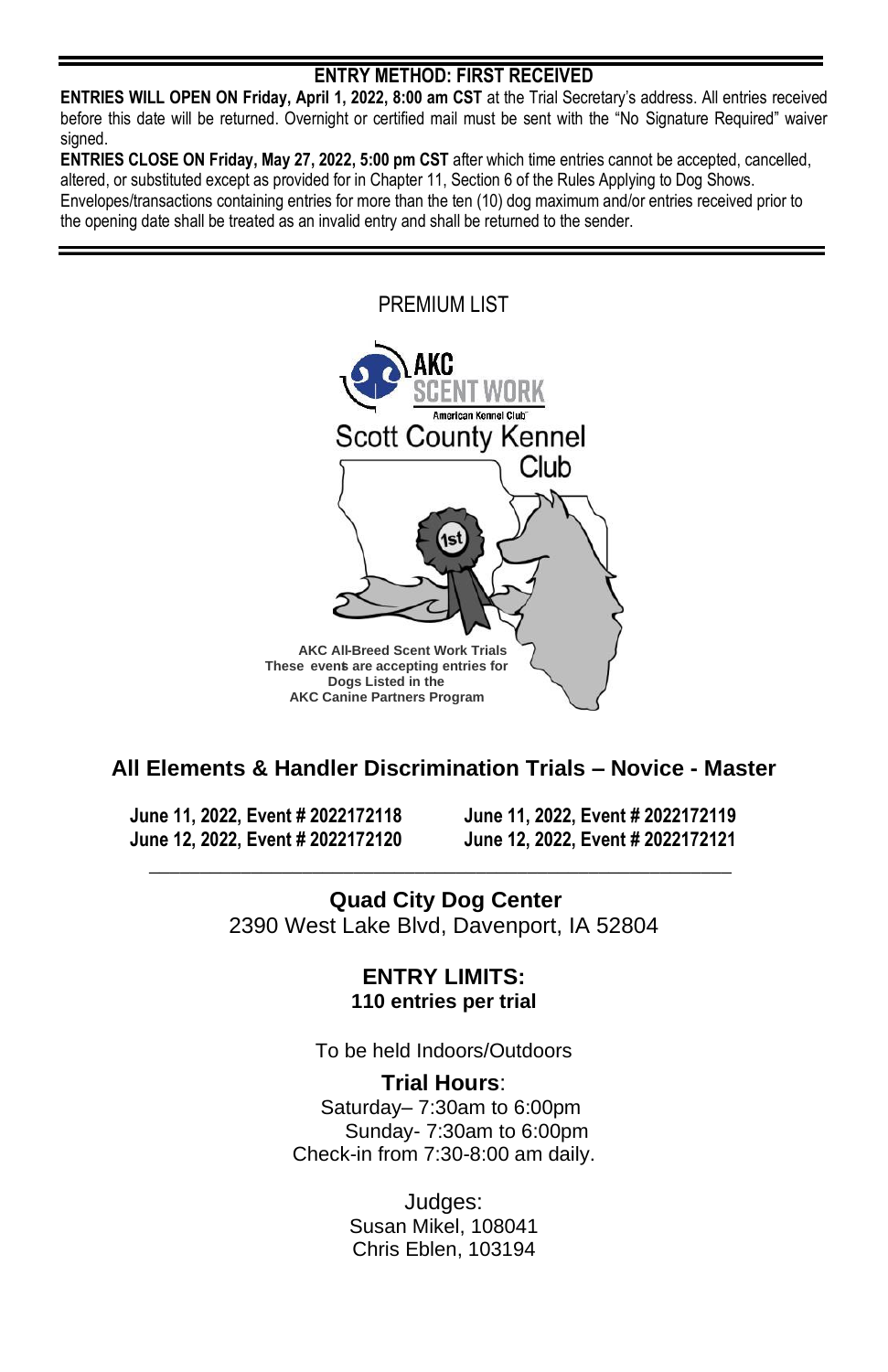## **ENTRY METHOD: FIRST RECEIVED**

**ENTRIES WILL OPEN ON Friday, April 1, 2022, 8:00 am CST** at the Trial Secretary's address. All entries received before this date will be returned. Overnight or certified mail must be sent with the "No Signature Required" waiver signed.

**ENTRIES CLOSE ON Friday, May 27, 2022, 5:00 pm CST** after which time entries cannot be accepted, cancelled, altered, or substituted except as provided for in Chapter 11, Section 6 of the Rules Applying to Dog Shows. Envelopes/transactions containing entries for more than the ten (10) dog maximum and/or entries received prior to the opening date shall be treated as an invalid entry and shall be returned to the sender.



# **All Elements & Handler Discrimination Trials – Novice - Master**

**June 11, 2022, Event # 2022172118 June 11, 2022, Event # 2022172119 June 12, 2022, Event # 2022172120 June 12, 2022, Event # 2022172121**

**Quad City Dog Center** 2390 West Lake Blvd, Davenport, IA 52804

**\_\_\_\_\_\_\_\_\_\_\_\_\_\_\_\_\_\_\_\_\_\_\_\_\_\_\_\_\_\_\_\_\_\_\_\_\_\_\_\_\_\_\_\_\_\_\_\_\_\_\_\_\_\_\_\_\_**

**ENTRY LIMITS: 110 entries per trial**

To be held Indoors/Outdoors

**Trial Hours**: Saturday– 7:30am to 6:00pm Sunday- 7:30am to 6:00pm Check-in from 7:30-8:00 am daily.

> Judges: Susan Mikel, 108041 Chris Eblen, 103194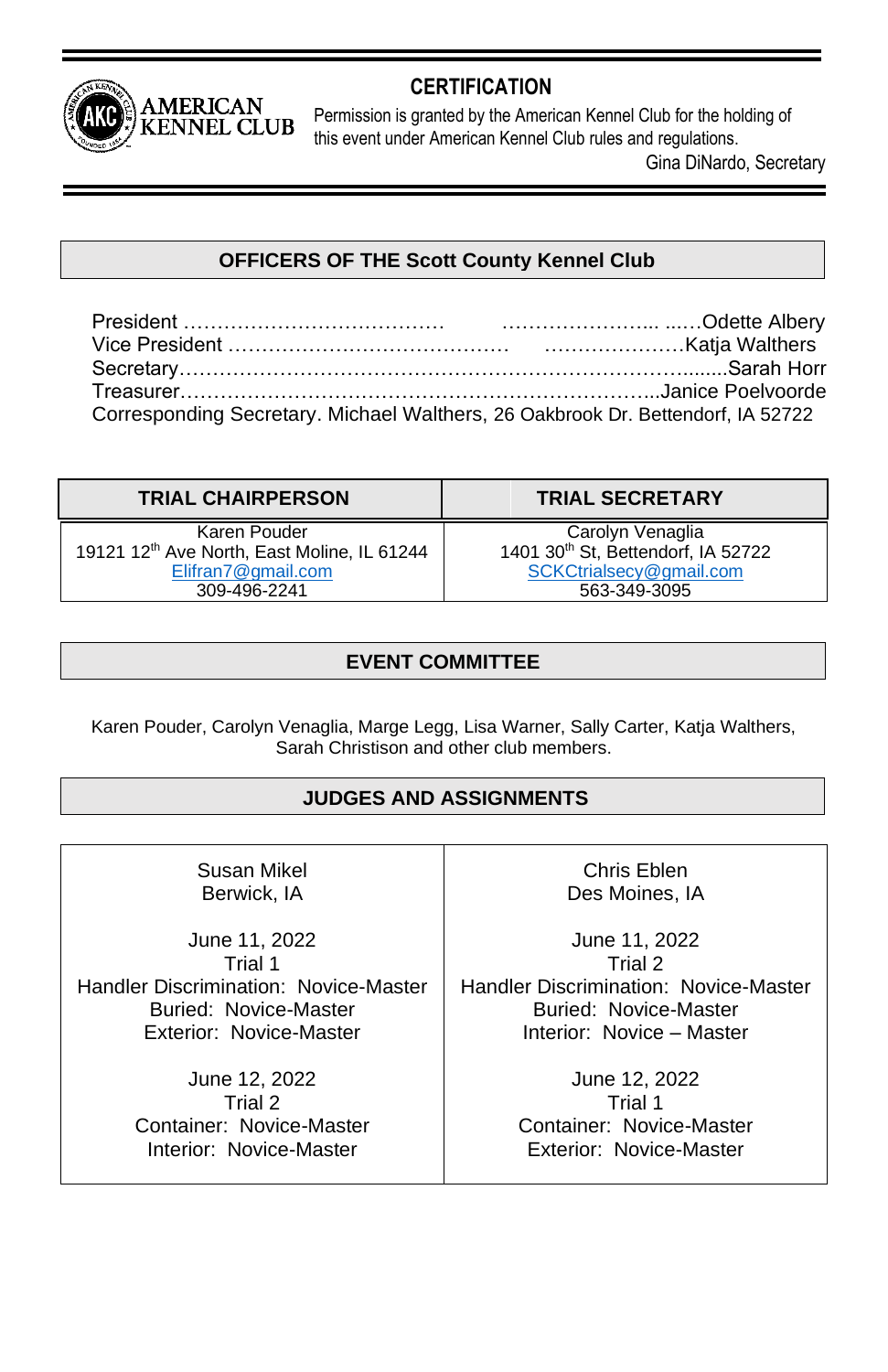

# **CERTIFICATION**

Permission is granted by the American Kennel Club for the holding of this event under American Kennel Club rules and regulations.

Gina DiNardo, Secretary

# **OFFICERS OF THE Scott County Kennel Club**

President ………………………………… …………………... ...…Odette Albery Vice President …………………………………… …………………Katja Walthers Secretary…………………………………………………………………........Sarah Horr Treasurer……………………………………………………………...Janice Poelvoorde Corresponding Secretary. Michael Walthers, 26 Oakbrook Dr. Bettendorf, IA 52722

| <b>TRIAL CHAIRPERSON</b>                                                                                      | <b>TRIAL SECRETARY</b>                                                                                        |
|---------------------------------------------------------------------------------------------------------------|---------------------------------------------------------------------------------------------------------------|
| Karen Pouder<br>19121 12 <sup>th</sup> Ave North, East Moline, IL 61244<br>Elifran7@gmail.com<br>309-496-2241 | Carolyn Venaglia<br>1401 30 <sup>th</sup> St, Bettendorf, IA 52722<br>SCKCtrialsecy@gmail.com<br>563-349-3095 |

# **EVENT COMMITTEE**

Karen Pouder, Carolyn Venaglia, Marge Legg, Lisa Warner, Sally Carter, Katja Walthers, Sarah Christison and other club members.

# **JUDGES AND ASSIGNMENTS**

Susan Mikel Berwick, IA

June 11, 2022 Trial 1 Handler Discrimination: Novice-Master Buried: Novice-Master Exterior: Novice-Master

> June 12, 2022 Trial 2 Container: Novice-Master Interior: Novice-Master

Chris Eblen Des Moines, IA

June 11, 2022 Trial 2 Handler Discrimination: Novice-Master Buried: Novice-Master Interior: Novice – Master

> June 12, 2022 Trial 1 Container: Novice-Master Exterior: Novice-Master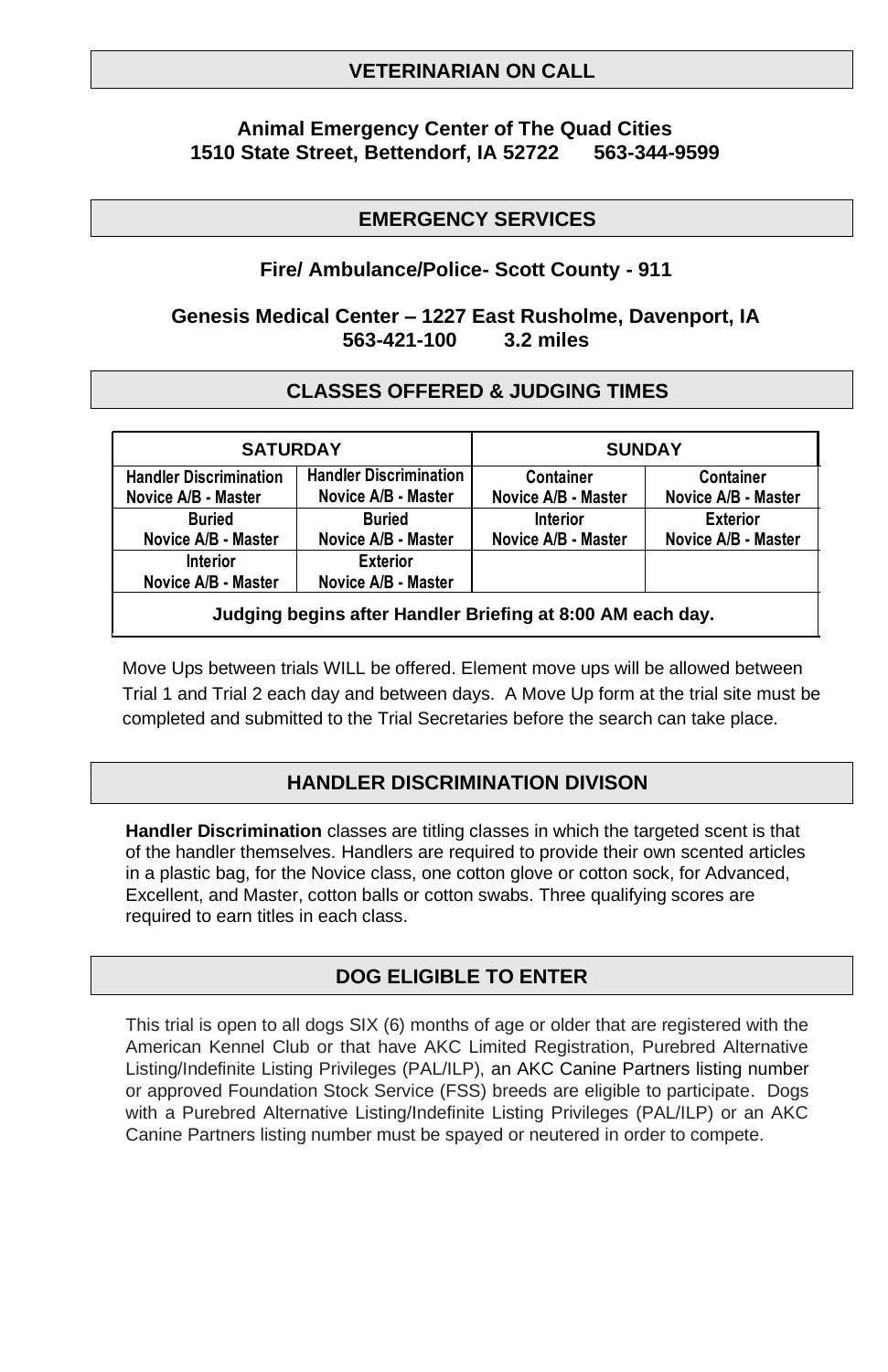## **VETERINARIAN ON CALL**

## **Animal Emergency Center of The Quad Cities 1510 State Street, Bettendorf, IA 52722 563-344-9599**

## **EMERGENCY SERVICES**

## **Fire/ Ambulance/Police- Scott County - 911**

## **Genesis Medical Center – 1227 East Rusholme, Davenport, IA 563-421-100 3.2 miles**

## **CLASSES OFFERED & JUDGING TIMES**

| <b>SATURDAY</b>                                            |                                                      | <b>SUNDAY</b>                    |                                        |  |
|------------------------------------------------------------|------------------------------------------------------|----------------------------------|----------------------------------------|--|
| <b>Handler Discrimination</b><br>Novice A/B - Master       | <b>Handler Discrimination</b><br>Novice A/B - Master | Container<br>Novice A/B - Master | Container<br>Novice A/B - Master       |  |
| <b>Buried</b><br>Novice A/B - Master                       | <b>Buried</b><br>Novice A/B - Master                 | Interior<br>Novice A/B - Master  | <b>Exterior</b><br>Novice A/B - Master |  |
| Interior<br>Novice A/B - Master                            | <b>Exterior</b><br>Novice A/B - Master               |                                  |                                        |  |
| Judging begins after Handler Briefing at 8:00 AM each day. |                                                      |                                  |                                        |  |

Move Ups between trials WILL be offered. Element move ups will be allowed between Trial 1 and Trial 2 each day and between days. A Move Up form at the trial site must be completed and submitted to the Trial Secretaries before the search can take place.

## **HANDLER DISCRIMINATION DIVISON**

**Handler Discrimination** classes are titling classes in which the targeted scent is that of the handler themselves. Handlers are required to provide their own scented articles in a plastic bag, for the Novice class, one cotton glove or cotton sock, for Advanced, Excellent, and Master, cotton balls or cotton swabs. Three qualifying scores are required to earn titles in each class.

## **DOG ELIGIBLE TO ENTER**

This trial is open to all dogs SIX (6) months of age or older that are registered with the American Kennel Club or that have AKC Limited Registration, Purebred Alternative Listing/Indefinite Listing Privileges (PAL/ILP), an AKC Canine Partners listing number or approved Foundation Stock Service (FSS) breeds are eligible to participate. Dogs with a Purebred Alternative Listing/Indefinite Listing Privileges (PAL/ILP) or an AKC Canine Partners listing number must be spayed or neutered in order to compete.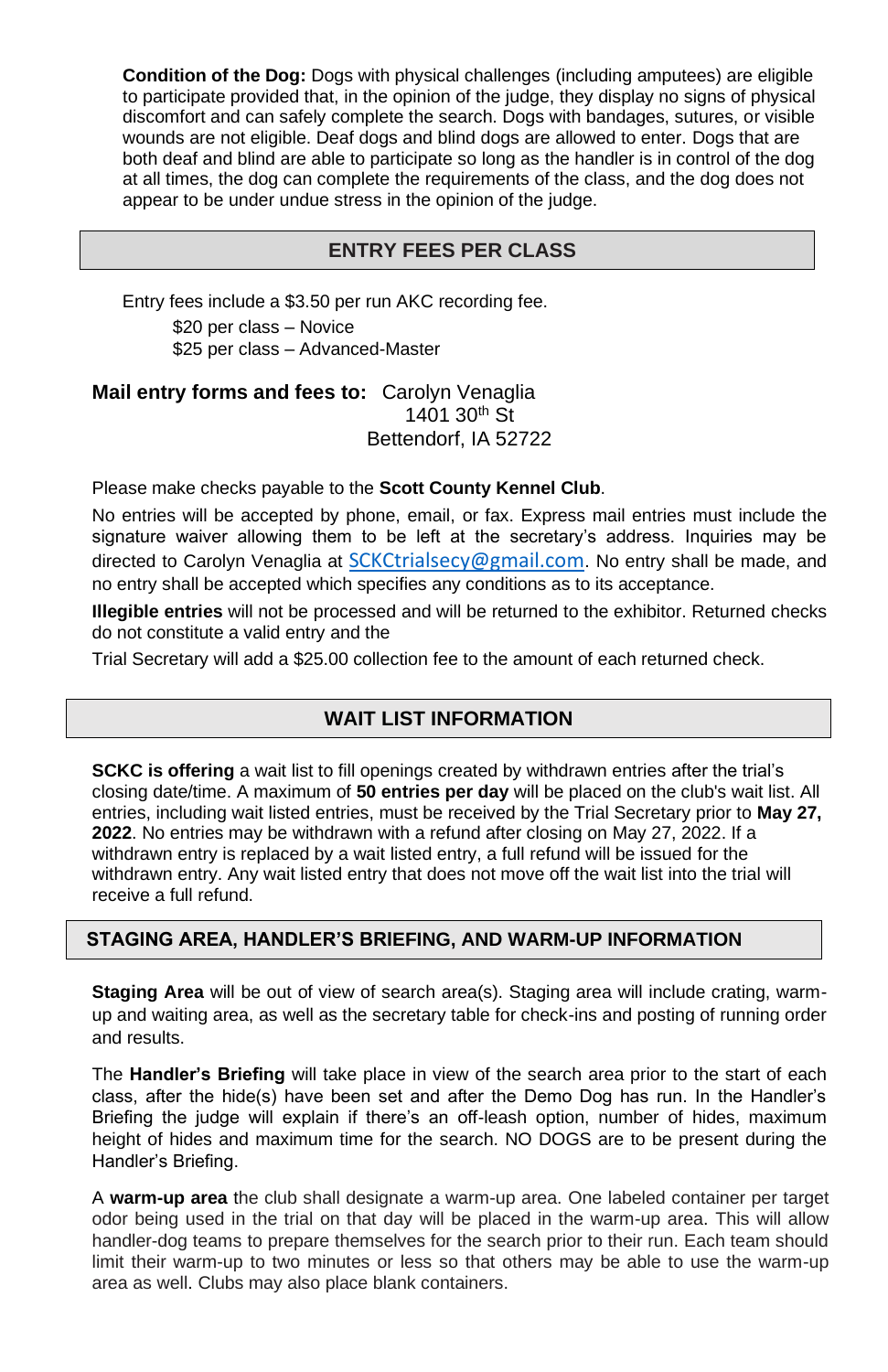**Condition of the Dog:** Dogs with physical challenges (including amputees) are eligible to participate provided that, in the opinion of the judge, they display no signs of physical discomfort and can safely complete the search. Dogs with bandages, sutures, or visible wounds are not eligible. Deaf dogs and blind dogs are allowed to enter. Dogs that are both deaf and blind are able to participate so long as the handler is in control of the dog at all times, the dog can complete the requirements of the class, and the dog does not appear to be under undue stress in the opinion of the judge.

## **ENTRY FEES PER CLASS**

Entry fees include a \$3.50 per run AKC recording fee. \$20 per class – Novice \$25 per class – Advanced-Master

**Mail entry forms and fees to:** Carolyn Venaglia 1401 30<sup>th</sup> St Bettendorf, IA 52722

Please make checks payable to the **Scott County Kennel Club**.

No entries will be accepted by phone, email, or fax. Express mail entries must include the signature waiver allowing them to be left at the secretary's address. Inquiries may be directed to Carolyn Venaglia at [SCKCtrialsecy@gmail.com](mailto:SCKCtrialsecy@gmail.com). No entry shall be made, and no entry shall be accepted which specifies any conditions as to its acceptance.

**Illegible entries** will not be processed and will be returned to the exhibitor. Returned checks do not constitute a valid entry and the

Trial Secretary will add a \$25.00 collection fee to the amount of each returned check.

## **WAIT LIST INFORMATION**

**SCKC is offering** a wait list to fill openings created by withdrawn entries after the trial's closing date/time. A maximum of **50 entries per day** will be placed on the club's wait list. All entries, including wait listed entries, must be received by the Trial Secretary prior to **May 27, 2022**. No entries may be withdrawn with a refund after closing on May 27, 2022. If a withdrawn entry is replaced by a wait listed entry, a full refund will be issued for the withdrawn entry. Any wait listed entry that does not move off the wait list into the trial will receive a full refund.

### **STAGING AREA, HANDLER'S BRIEFING, AND WARM-UP INFORMATION**

**Staging Area** will be out of view of search area(s). Staging area will include crating, warmup and waiting area, as well as the secretary table for check-ins and posting of running order and results.

The **Handler's Briefing** will take place in view of the search area prior to the start of each class, after the hide(s) have been set and after the Demo Dog has run. In the Handler's Briefing the judge will explain if there's an off-leash option, number of hides, maximum height of hides and maximum time for the search. NO DOGS are to be present during the Handler's Briefing.

A **warm-up area** the club shall designate a warm-up area. One labeled container per target odor being used in the trial on that day will be placed in the warm-up area. This will allow handler-dog teams to prepare themselves for the search prior to their run. Each team should limit their warm-up to two minutes or less so that others may be able to use the warm-up area as well. Clubs may also place blank containers.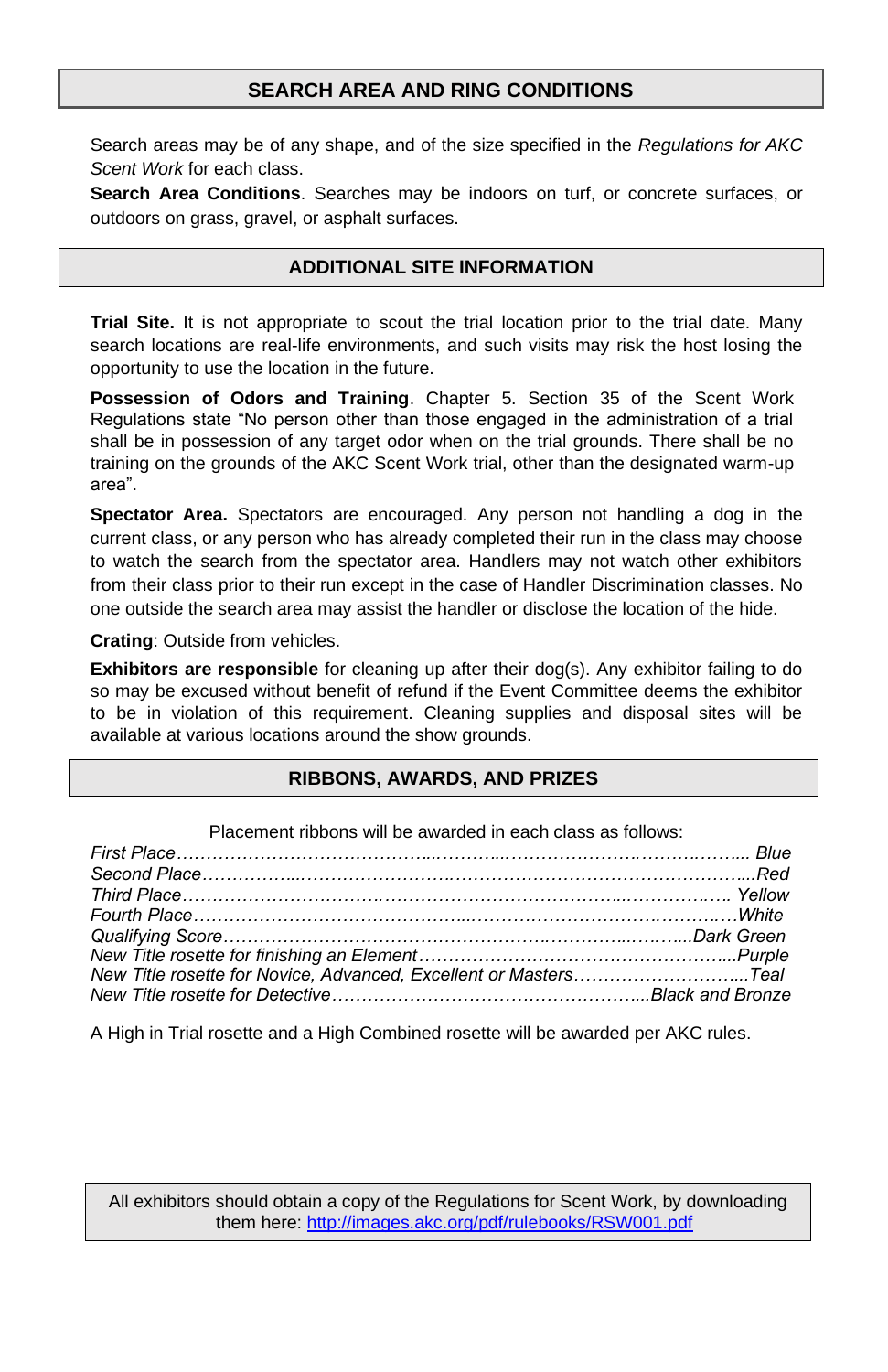## **SEARCH AREA AND RING CONDITIONS**

Search areas may be of any shape, and of the size specified in the *Regulations for AKC Scent Work* for each class.

**Search Area Conditions**. Searches may be indoors on turf, or concrete surfaces, or outdoors on grass, gravel, or asphalt surfaces.

## **ADDITIONAL SITE INFORMATION**

**Trial Site.** It is not appropriate to scout the trial location prior to the trial date. Many search locations are real-life environments, and such visits may risk the host losing the opportunity to use the location in the future.

**Possession of Odors and Training**. Chapter 5. Section 35 of the Scent Work Regulations state "No person other than those engaged in the administration of a trial shall be in possession of any target odor when on the trial grounds. There shall be no training on the grounds of the AKC Scent Work trial, other than the designated warm-up area".

**Spectator Area.** Spectators are encouraged. Any person not handling a dog in the current class, or any person who has already completed their run in the class may choose to watch the search from the spectator area. Handlers may not watch other exhibitors from their class prior to their run except in the case of Handler Discrimination classes. No one outside the search area may assist the handler or disclose the location of the hide.

**Crating**: Outside from vehicles.

**Exhibitors are responsible** for cleaning up after their dog(s). Any exhibitor failing to do so may be excused without benefit of refund if the Event Committee deems the exhibitor to be in violation of this requirement. Cleaning supplies and disposal sites will be available at various locations around the show grounds.

### **RIBBONS, AWARDS, AND PRIZES**

| Placement ribbons will be awarded in each class as follows:        |  |
|--------------------------------------------------------------------|--|
|                                                                    |  |
|                                                                    |  |
|                                                                    |  |
| Fourth Place……………………………………………………………………………………White                  |  |
|                                                                    |  |
|                                                                    |  |
| New Title rosette for Novice, Advanced, Excellent or MastersTeal   |  |
| New Title rosette for Detective…………………………………………………Black and Bronze |  |

A High in Trial rosette and a High Combined rosette will be awarded per AKC rules.

All exhibitors should obtain a copy of the Regulations for Scent Work, by downloading them here:<http://images.akc.org/pdf/rulebooks/RSW001.pdf>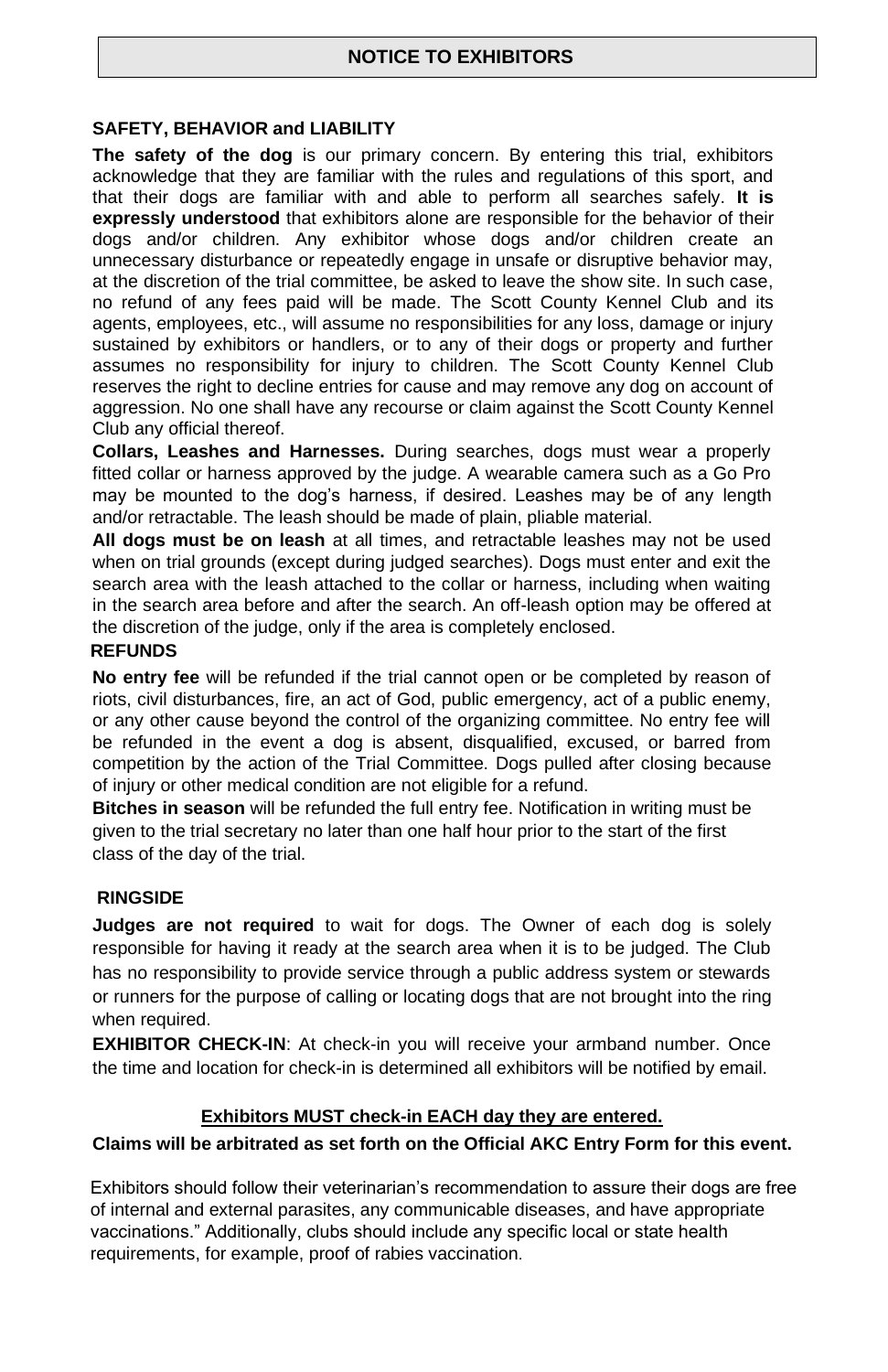#### **SAFETY, BEHAVIOR and LIABILITY**

**The safety of the dog** is our primary concern. By entering this trial, exhibitors acknowledge that they are familiar with the rules and regulations of this sport, and that their dogs are familiar with and able to perform all searches safely. **It is expressly understood** that exhibitors alone are responsible for the behavior of their dogs and/or children. Any exhibitor whose dogs and/or children create an unnecessary disturbance or repeatedly engage in unsafe or disruptive behavior may, at the discretion of the trial committee, be asked to leave the show site. In such case, no refund of any fees paid will be made. The Scott County Kennel Club and its agents, employees, etc., will assume no responsibilities for any loss, damage or injury sustained by exhibitors or handlers, or to any of their dogs or property and further assumes no responsibility for injury to children. The Scott County Kennel Club reserves the right to decline entries for cause and may remove any dog on account of aggression. No one shall have any recourse or claim against the Scott County Kennel Club any official thereof.

**Collars, Leashes and Harnesses.** During searches, dogs must wear a properly fitted collar or harness approved by the judge. A wearable camera such as a Go Pro may be mounted to the dog's harness, if desired. Leashes may be of any length and/or retractable. The leash should be made of plain, pliable material.

**All dogs must be on leash** at all times, and retractable leashes may not be used when on trial grounds (except during judged searches). Dogs must enter and exit the search area with the leash attached to the collar or harness, including when waiting in the search area before and after the search. An off-leash option may be offered at the discretion of the judge, only if the area is completely enclosed.

#### **REFUNDS**

**No entry fee** will be refunded if the trial cannot open or be completed by reason of riots, civil disturbances, fire, an act of God, public emergency, act of a public enemy, or any other cause beyond the control of the organizing committee. No entry fee will be refunded in the event a dog is absent, disqualified, excused, or barred from competition by the action of the Trial Committee. Dogs pulled after closing because of injury or other medical condition are not eligible for a refund.

**Bitches in season** will be refunded the full entry fee. Notification in writing must be given to the trial secretary no later than one half hour prior to the start of the first class of the day of the trial.

#### **RINGSIDE**

**Judges are not required** to wait for dogs. The Owner of each dog is solely responsible for having it ready at the search area when it is to be judged. The Club has no responsibility to provide service through a public address system or stewards or runners for the purpose of calling or locating dogs that are not brought into the ring when required.

**EXHIBITOR CHECK-IN**: At check-in you will receive your armband number. Once the time and location for check-in is determined all exhibitors will be notified by email.

### **Exhibitors MUST check-in EACH day they are entered.**

### **Claims will be arbitrated as set forth on the Official AKC Entry Form for this event.**

Exhibitors should follow their veterinarian's recommendation to assure their dogs are free of internal and external parasites, any communicable diseases, and have appropriate vaccinations." Additionally, clubs should include any specific local or state health requirements, for example, proof of rabies vaccination.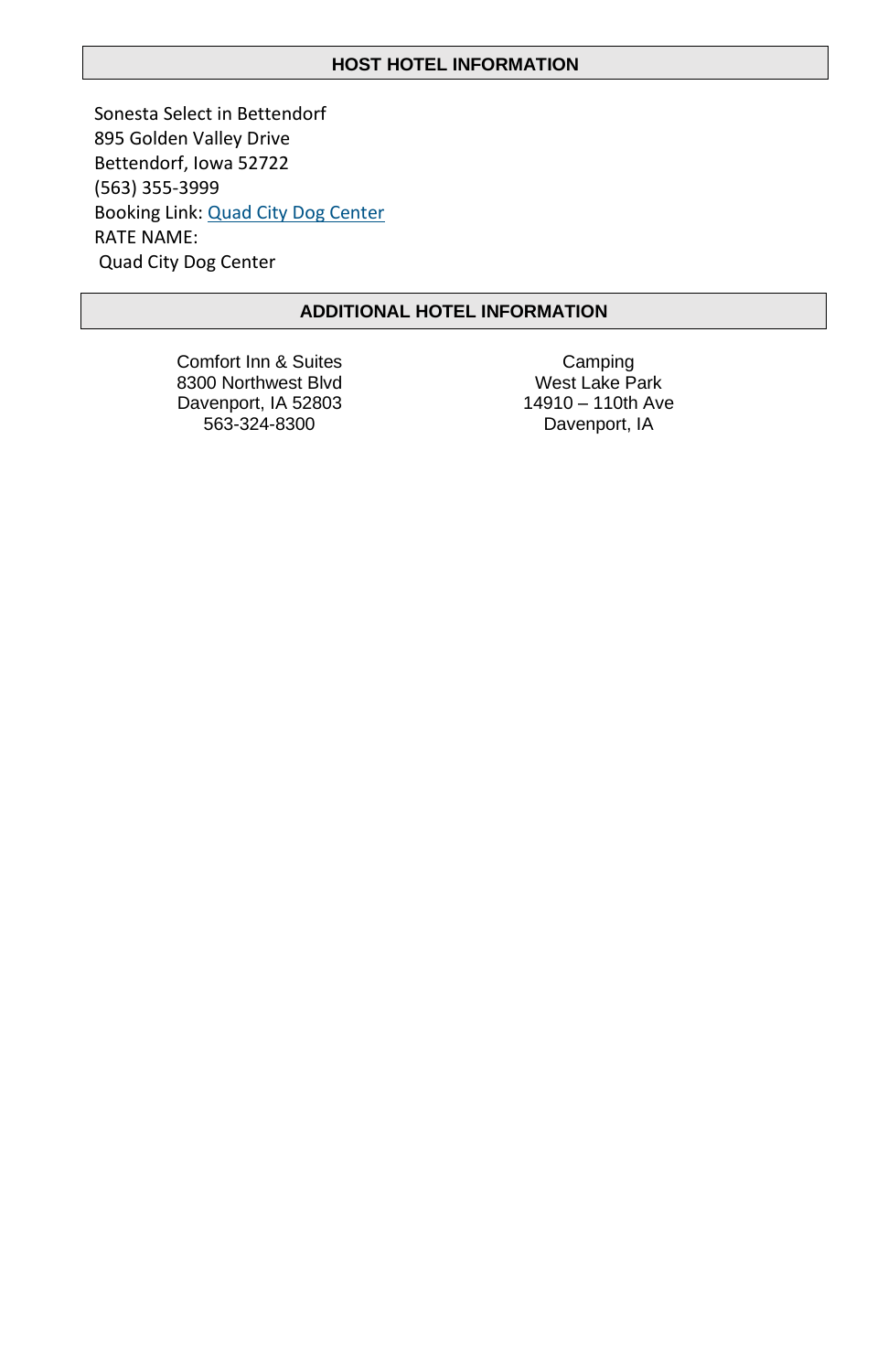#### **HOST HOTEL INFORMATION**

Sonesta Select in Bettendorf 895 Golden Valley Drive Bettendorf, Iowa 52722 (563) 355-3999 Booking Link: [Quad City Dog Center](https://be.synxis.com/?Hotel=32566&Chain=5157&promo=QCDC) RATE NAME: Quad City Dog Center

## **ADDITIONAL HOTEL INFORMATION**

Comfort Inn & Suites 8300 Northwest Blvd Davenport, IA 52803 563-324-8300

Camping West Lake Park 14910 – 110th Ave Davenport, IA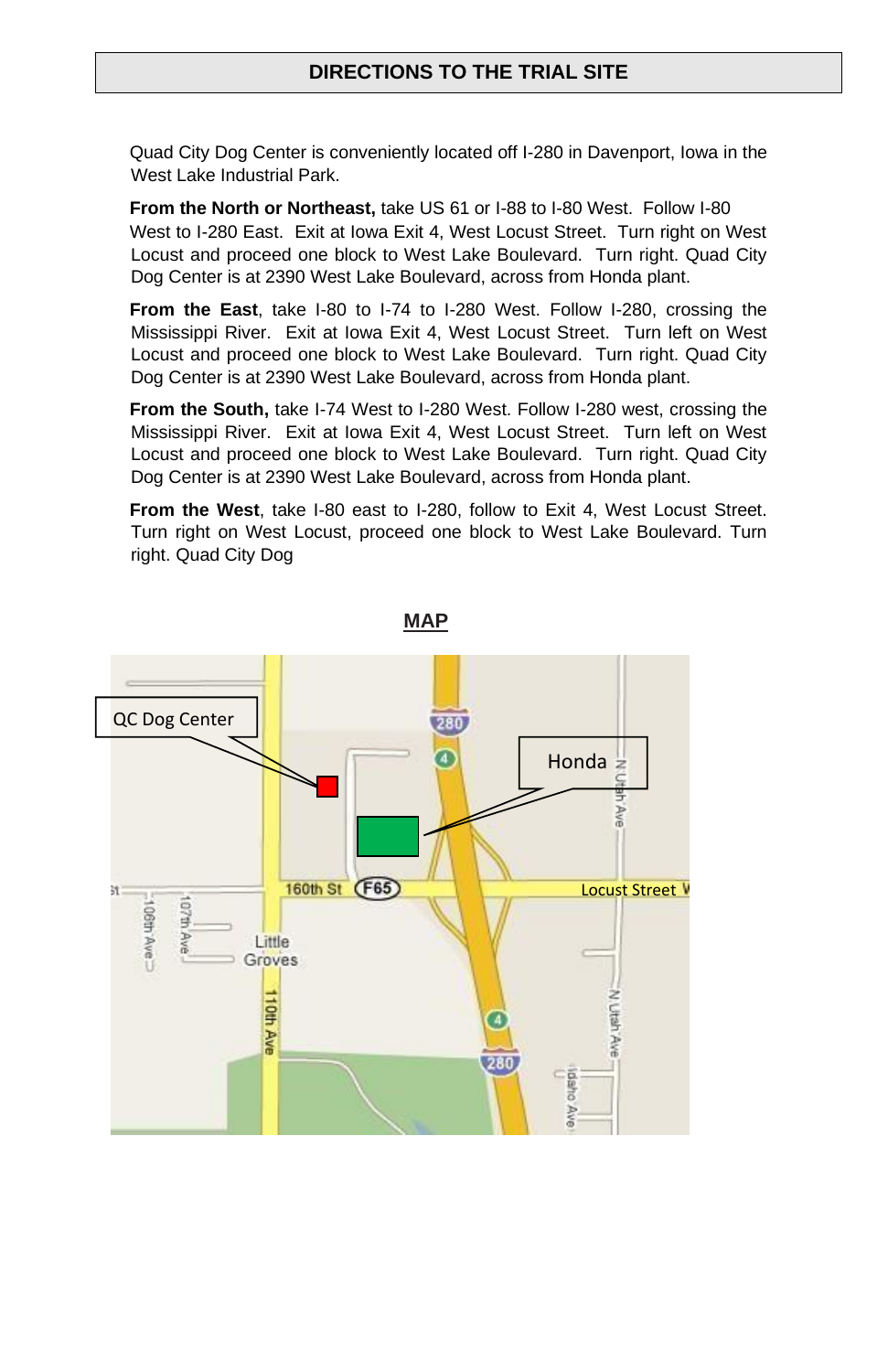## **DIRECTIONS TO THE TRIAL SITE**

Quad City Dog Center is conveniently located off I-280 in Davenport, Iowa in the West Lake Industrial Park.

**From the North or Northeast,** take US 61 or I-88 to I-80 West. Follow I-80 West to I-280 East. Exit at Iowa Exit 4, West Locust Street. Turn right on West Locust and proceed one block to West Lake Boulevard. Turn right. Quad City Dog Center is at 2390 West Lake Boulevard, across from Honda plant.

**From the East**, take I-80 to I-74 to I-280 West. Follow I-280, crossing the Mississippi River. Exit at Iowa Exit 4, West Locust Street. Turn left on West Locust and proceed one block to West Lake Boulevard. Turn right. Quad City Dog Center is at 2390 West Lake Boulevard, across from Honda plant.

**From the South,** take I-74 West to I-280 West. Follow I-280 west, crossing the Mississippi River. Exit at Iowa Exit 4, West Locust Street. Turn left on West Locust and proceed one block to West Lake Boulevard. Turn right. Quad City Dog Center is at 2390 West Lake Boulevard, across from Honda plant.

**From the West**, take I-80 east to I-280, follow to Exit 4, West Locust Street. Turn right on West Locust, proceed one block to West Lake Boulevard. Turn right. Quad City Dog



**MAP**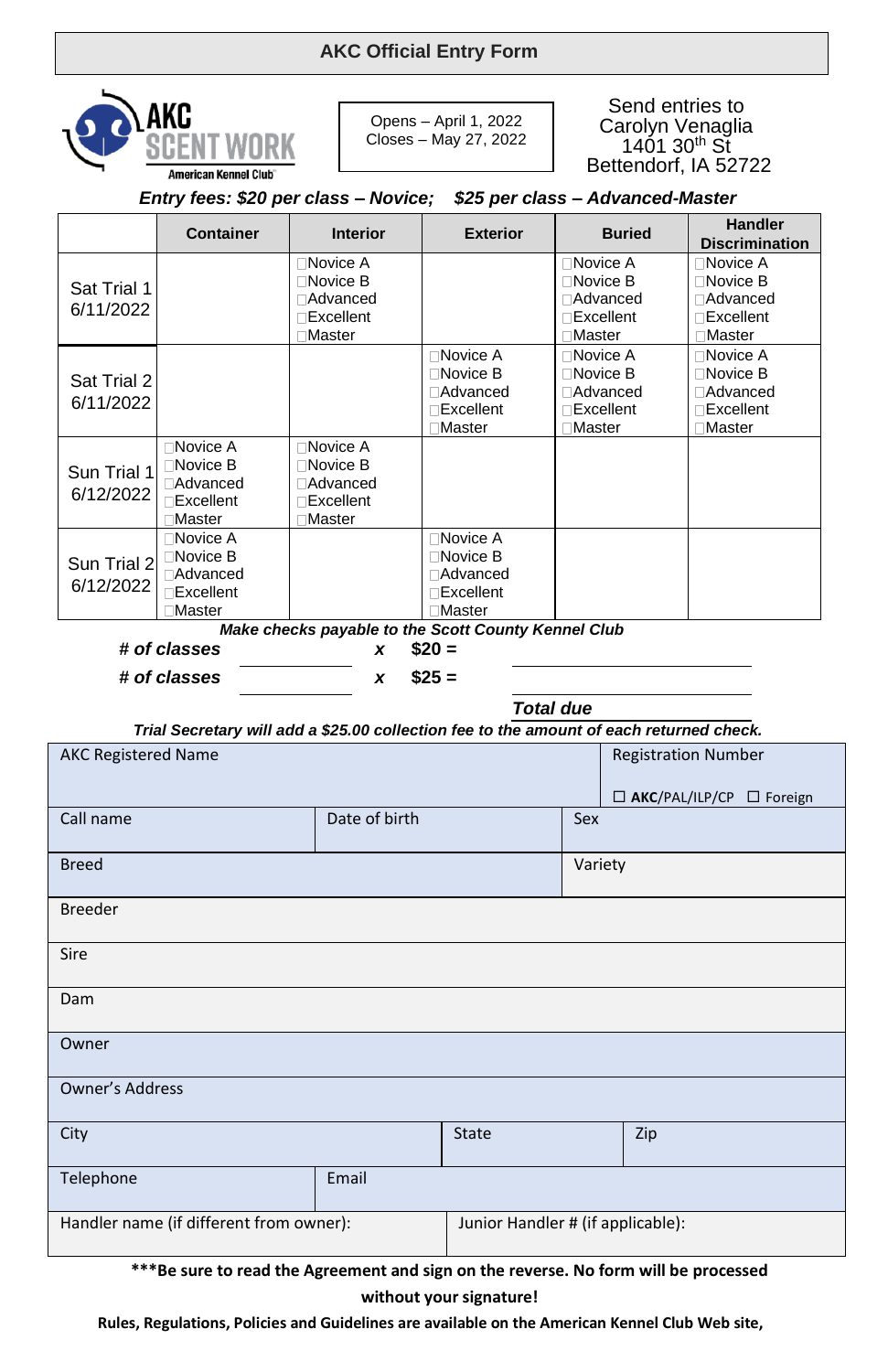## **AKC Official Entry Form**



Owner

Opens – April 1, 2022 Closes – May 27, 2022

Send entries to Carolyn Venaglia  $140130^{th}$  St Bettendorf, IA 52722

| Entry fees: \$20 per class - Novice; \$25 per class - Advanced-Master                                       |                                                                                       |                                                                                           |                                                                                      |  |                                                                                        |                                                                                       |
|-------------------------------------------------------------------------------------------------------------|---------------------------------------------------------------------------------------|-------------------------------------------------------------------------------------------|--------------------------------------------------------------------------------------|--|----------------------------------------------------------------------------------------|---------------------------------------------------------------------------------------|
|                                                                                                             | <b>Container</b>                                                                      | <b>Interior</b>                                                                           | <b>Exterior</b>                                                                      |  | <b>Buried</b>                                                                          | <b>Handler</b><br><b>Discrimination</b>                                               |
| Sat Trial 1<br>6/11/2022                                                                                    |                                                                                       | <b>∩Novice A</b><br>$\square$ Novice B<br>□Advanced<br>$\Box$ Excellent<br><b>□Master</b> |                                                                                      |  | <b>∩Novice A</b><br>$\Box$ Novice B<br><b>∩Advanced</b><br><b>Excellent</b><br>□Master | <b>Novice A</b><br>$\Box$ Novice B<br>⊟Advanced<br>$\Box$ Excellent<br><b>□Master</b> |
| Sat Trial 2<br>6/11/2022                                                                                    |                                                                                       |                                                                                           | □Novice A<br>$\Box$ Novice B<br><b>∩Advanced</b><br><b>Excellent</b><br>□Master      |  | <b>∩Novice A</b><br>$\Box$ Novice B<br><b>∩Advanced</b><br>$\Box$ Excellent<br>□Master | □Novice A<br>$\Box$ Novice B<br>⊟Advanced<br><b>Excellent</b><br>□Master              |
| Sun Trial 1<br>6/12/2022                                                                                    | □Novice A<br>$\Box$ Novice B<br><b>∩Advanced</b><br><b>Excellent</b><br><b>Master</b> | □Novice A<br>$\Box$ Novice B<br><b>∩Advanced</b><br>$\Box$ Excellent<br>□Master           |                                                                                      |  |                                                                                        |                                                                                       |
| Sun Trial 2<br>6/12/2022                                                                                    | □Novice A<br>□Novice B<br><b>Advanced</b><br><b>□Excellent</b><br>□Master             |                                                                                           | □Novice A<br>$\Box$ Novice B<br><b>Advanced</b><br>$\Box$ Excellent<br><b>Master</b> |  |                                                                                        |                                                                                       |
|                                                                                                             |                                                                                       | Make checks payable to the Scott County Kennel Club                                       |                                                                                      |  |                                                                                        |                                                                                       |
|                                                                                                             | # of classes                                                                          | x                                                                                         | $$20 =$                                                                              |  |                                                                                        |                                                                                       |
|                                                                                                             | # of classes                                                                          | x                                                                                         | $$25 =$                                                                              |  |                                                                                        |                                                                                       |
| <b>Total due</b><br>Trial Secretary will add a \$25.00 collection fee to the amount of each returned check. |                                                                                       |                                                                                           |                                                                                      |  |                                                                                        |                                                                                       |
| <b>AKC Registered Name</b>                                                                                  |                                                                                       |                                                                                           |                                                                                      |  |                                                                                        | <b>Registration Number</b><br>□ AKC/PAL/ILP/CP □ Foreign                              |
| Call name                                                                                                   |                                                                                       | Date of birth                                                                             |                                                                                      |  | Sex                                                                                    |                                                                                       |
| <b>Breed</b>                                                                                                |                                                                                       |                                                                                           |                                                                                      |  | Variety                                                                                |                                                                                       |
| <b>Breeder</b>                                                                                              |                                                                                       |                                                                                           |                                                                                      |  |                                                                                        |                                                                                       |
| Sire                                                                                                        |                                                                                       |                                                                                           |                                                                                      |  |                                                                                        |                                                                                       |
| Dam                                                                                                         |                                                                                       |                                                                                           |                                                                                      |  |                                                                                        |                                                                                       |

Owner's Address City **State Act of the City** State State Act 2 (2) Telephone Email Handler name (if different from owner): Junior Handler # (if applicable):

**\*\*\*Be sure to read the Agreement and sign on the reverse. No form will be processed without your signature!**

**Rules, Regulations, Policies and Guidelines are available on the American Kennel Club Web site,**